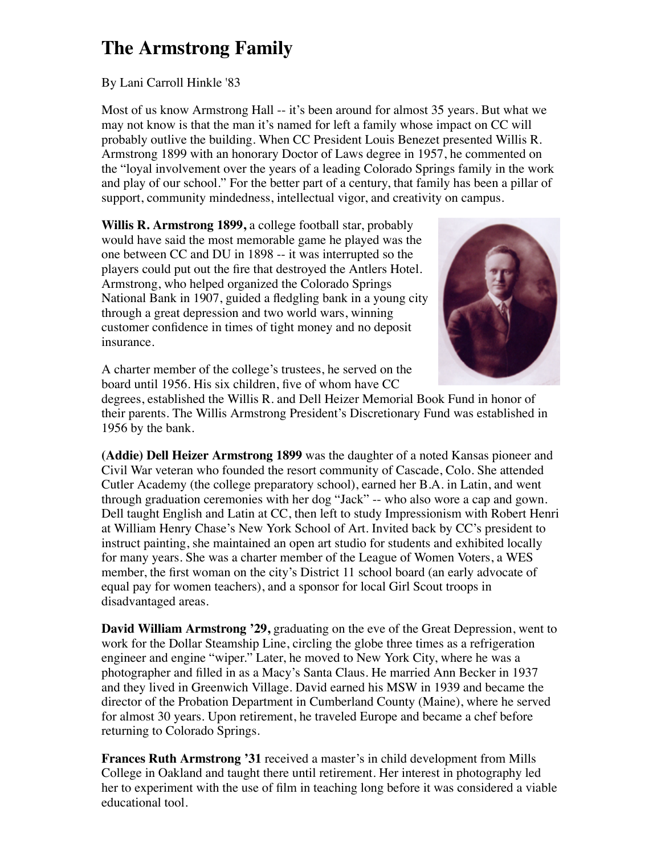## **The Armstrong Family**

## By Lani Carroll Hinkle '83

Most of us know Armstrong Hall -- it's been around for almost 35 years. But what we may not know is that the man it's named for left a family whose impact on CC will probably outlive the building. When CC President Louis Benezet presented Willis R. Armstrong 1899 with an honorary Doctor of Laws degree in 1957, he commented on the "loyal involvement over the years of a leading Colorado Springs family in the work and play of our school." For the better part of a century, that family has been a pillar of support, community mindedness, intellectual vigor, and creativity on campus.

**Willis R. Armstrong 1899,** a college football star, probably would have said the most memorable game he played was the one between CC and DU in 1898 -- it was interrupted so the players could put out the fire that destroyed the Antlers Hotel. Armstrong, who helped organized the Colorado Springs National Bank in 1907, guided a fledgling bank in a young city through a great depression and two world wars, winning customer confidence in times of tight money and no deposit insurance.



A charter member of the college's trustees, he served on the board until 1956. His six children, five of whom have CC

degrees, established the Willis R. and Dell Heizer Memorial Book Fund in honor of their parents. The Willis Armstrong President's Discretionary Fund was established in 1956 by the bank.

**(Addie) Dell Heizer Armstrong 1899** was the daughter of a noted Kansas pioneer and Civil War veteran who founded the resort community of Cascade, Colo. She attended Cutler Academy (the college preparatory school), earned her B.A. in Latin, and went through graduation ceremonies with her dog "Jack" -- who also wore a cap and gown. Dell taught English and Latin at CC, then left to study Impressionism with Robert Henri at William Henry Chase's New York School of Art. Invited back by CC's president to instruct painting, she maintained an open art studio for students and exhibited locally for many years. She was a charter member of the League of Women Voters, a WES member, the first woman on the city's District 11 school board (an early advocate of equal pay for women teachers), and a sponsor for local Girl Scout troops in disadvantaged areas.

**David William Armstrong '29,** graduating on the eve of the Great Depression, went to work for the Dollar Steamship Line, circling the globe three times as a refrigeration engineer and engine "wiper." Later, he moved to New York City, where he was a photographer and filled in as a Macy's Santa Claus. He married Ann Becker in 1937 and they lived in Greenwich Village. David earned his MSW in 1939 and became the director of the Probation Department in Cumberland County (Maine), where he served for almost 30 years. Upon retirement, he traveled Europe and became a chef before returning to Colorado Springs.

**Frances Ruth Armstrong '31** received a master's in child development from Mills College in Oakland and taught there until retirement. Her interest in photography led her to experiment with the use of film in teaching long before it was considered a viable educational tool.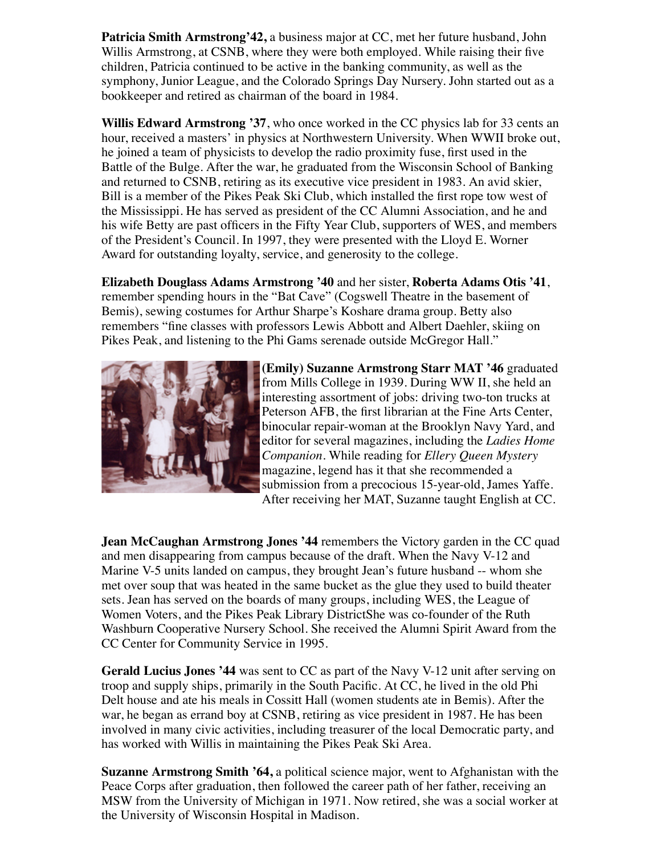**Patricia Smith Armstrong'42,** a business major at CC, met her future husband, John Willis Armstrong, at CSNB, where they were both employed. While raising their five children, Patricia continued to be active in the banking community, as well as the symphony, Junior League, and the Colorado Springs Day Nursery. John started out as a bookkeeper and retired as chairman of the board in 1984.

**Willis Edward Armstrong '37**, who once worked in the CC physics lab for 33 cents an hour, received a masters' in physics at Northwestern University. When WWII broke out, he joined a team of physicists to develop the radio proximity fuse, first used in the Battle of the Bulge. After the war, he graduated from the Wisconsin School of Banking and returned to CSNB, retiring as its executive vice president in 1983. An avid skier, Bill is a member of the Pikes Peak Ski Club, which installed the first rope tow west of the Mississippi. He has served as president of the CC Alumni Association, and he and his wife Betty are past officers in the Fifty Year Club, supporters of WES, and members of the President's Council. In 1997, they were presented with the Lloyd E. Worner Award for outstanding loyalty, service, and generosity to the college.

**Elizabeth Douglass Adams Armstrong '40** and her sister, **Roberta Adams Otis '41**, remember spending hours in the "Bat Cave" (Cogswell Theatre in the basement of Bemis), sewing costumes for Arthur Sharpe's Koshare drama group. Betty also remembers "fine classes with professors Lewis Abbott and Albert Daehler, skiing on Pikes Peak, and listening to the Phi Gams serenade outside McGregor Hall."



**(Emily) Suzanne Armstrong Starr MAT '46** graduated from Mills College in 1939. During WW II, she held an interesting assortment of jobs: driving two-ton trucks at Peterson AFB, the first librarian at the Fine Arts Center, binocular repair-woman at the Brooklyn Navy Yard, and editor for several magazines, including the *Ladies Home Companion*. While reading for *Ellery Queen Mystery* magazine, legend has it that she recommended a submission from a precocious 15-year-old, James Yaffe. After receiving her MAT, Suzanne taught English at CC.

**Jean McCaughan Armstrong Jones '44 remembers the Victory garden in the CC quad** and men disappearing from campus because of the draft. When the Navy V-12 and Marine V-5 units landed on campus, they brought Jean's future husband -- whom she met over soup that was heated in the same bucket as the glue they used to build theater sets. Jean has served on the boards of many groups, including WES, the League of Women Voters, and the Pikes Peak Library DistrictShe was co-founder of the Ruth Washburn Cooperative Nursery School. She received the Alumni Spirit Award from the CC Center for Community Service in 1995.

**Gerald Lucius Jones '44** was sent to CC as part of the Navy V-12 unit after serving on troop and supply ships, primarily in the South Pacific. At CC, he lived in the old Phi Delt house and ate his meals in Cossitt Hall (women students ate in Bemis). After the war, he began as errand boy at CSNB, retiring as vice president in 1987. He has been involved in many civic activities, including treasurer of the local Democratic party, and has worked with Willis in maintaining the Pikes Peak Ski Area.

**Suzanne Armstrong Smith '64,** a political science major, went to Afghanistan with the Peace Corps after graduation, then followed the career path of her father, receiving an MSW from the University of Michigan in 1971. Now retired, she was a social worker at the University of Wisconsin Hospital in Madison.